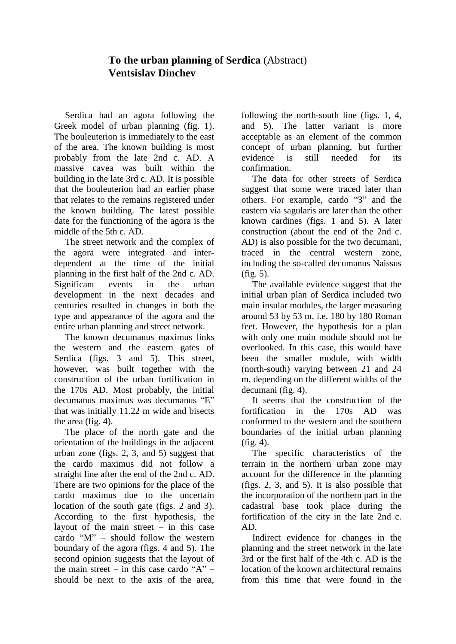## **To the urban planning of Serdica** (Abstract) **Ventsislav Dinchev**

Serdica had an agora following the Greek model of urban planning (fig. 1). The bouleuterion is immediately to the east of the area. The known building is most probably from the late 2nd c. AD. A massive cavea was built within the building in the late 3rd c. AD. It is possible that the bouleuterion had an earlier phase that relates to the remains registered under the known building. The latest possible date for the functioning of the agora is the middle of the 5th c. AD.

The street network and the complex of the agora were integrated and interdependent at the time of the initial planning in the first half of the 2nd c. AD. Significant events in the urban development in the next decades and centuries resulted in changes in both the type and appearance of the agora and the entire urban planning and street network.

The known decumanus maximus links the western and the eastern gates of Serdica (figs. 3 and 5). This street, however, was built together with the construction of the urban fortification in the 170s AD. Most probably, the initial decumanus maximus was decumanus "E" that was initially 11.22 m wide and bisects the area (fig. 4).

The place of the north gate and the orientation of the buildings in the adjacent urban zone (figs. 2, 3, and 5) suggest that the cardo maximus did not follow a straight line after the end of the 2nd c. AD. There are two opinions for the place of the cardo maximus due to the uncertain location of the south gate (figs. 2 and 3). According to the first hypothesis, the layout of the main street  $-$  in this case cardo "M" – should follow the western boundary of the agora (figs. 4 and 5). The second opinion suggests that the layout of the main street – in this case cardo " $A$ " – should be next to the axis of the area,

following the north-south line (figs. 1, 4, and 5). The latter variant is more acceptable as an element of the common concept of urban planning, but further evidence is still needed for its confirmation.

The data for other streets of Serdica suggest that some were traced later than others. For example, cardo "З" and the eastern via sagularis are later than the other known cardines (figs. 1 and 5). A later construction (about the end of the 2nd c. AD) is also possible for the two decumani, traced in the central western zone, including the so-called decumanus Naissus (fig. 5).

The available evidence suggest that the initial urban plan of Serdica included two main insular modules, the larger measuring around 53 by 53 m, i.e. 180 by 180 Roman feet. However, the hypothesis for a plan with only one main module should not be overlooked. In this case, this would have been the smaller module, with width (north-south) varying between 21 and 24 m, depending on the different widths of the decumani (fig. 4).

It seems that the construction of the fortification in the 170s AD was conformed to the western and the southern boundaries of the initial urban planning (fig. 4).

The specific characteristics of the terrain in the northern urban zone may account for the difference in the planning (figs. 2, 3, and 5). It is also possible that the incorporation of the northern part in the cadastral base took place during the fortification of the city in the late 2nd c. AD.

Indirect evidence for changes in the planning and the street network in the late 3rd or the first half of the 4th c. AD is the location of the known architectural remains from this time that were found in the